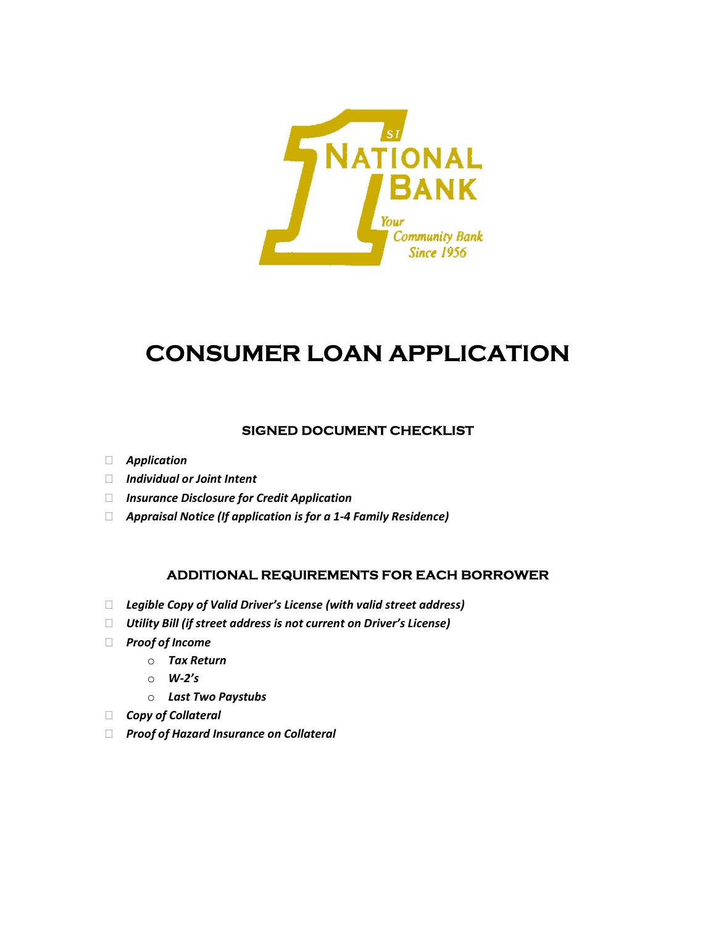

# CONSUMER LOAN APPLICATION

### SIGNED DOCUMENT CHECKLIST

- Application
- Individual or Joint Intent
- □ Insurance Disclosure for Credit Application
- $\Box$  Appraisal Notice (If application is for a 1-4 Family Residence)

### ADDITIONAL REQUIREMENTS FOR EACH BORROWER

- $\Box$  Legible Copy of Valid Driver's License (with valid street address)
- $\Box$  Utility Bill (if street address is not current on Driver's License)
- D Proof of Income
	- o Tax Return
	- $\circ$  W-2's
	- o Last Two Paystubs
- Copy of Collateral
- □ Proof of Hazard Insurance on Collateral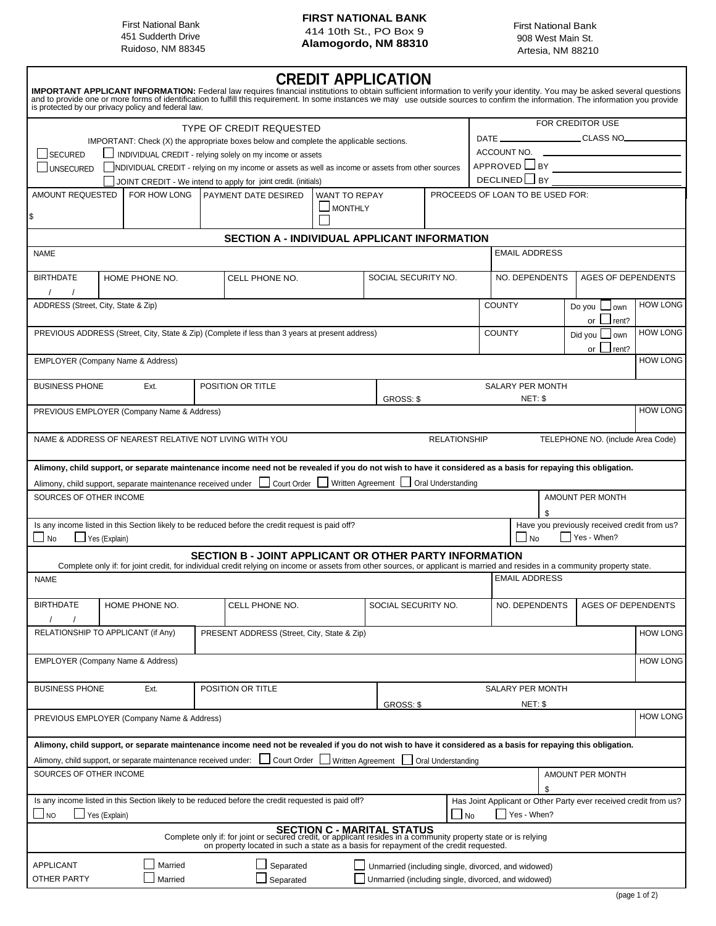#### **FIRST NATIONAL BANK** 414 10th St., PO Box 9 451 Sudderth Drive **Alamogordo, NM 88310**<br>Puidoso, NM 88310 **Alamogordo, NM 88310** 41525 NM 9934 FIRST NATIONAL BANK FIRST NATIONAL BANK FIRST NATIONAL BANK<br>451 Sudderth Drive **First National Actual Act A1 10 St.** PO Box 9 908 West Main St.

Ruidoso, NM 88345 **Artesia, NM 88210 Artesia**, NM 88210

## **CREDIT APPLICATION**

|                                                                                        |                                                                                                               | is protected by our privacy policy and federal law.    |                                                                       | IMPORTANT APPLICANT INFORMATION: Federal law requires financial institutions to obtain sufficient information to verify your identity. You may be asked several questions and to provide one or more forms of identification t                                                      |                                          |                                                     |                                  |                          |                      |    |                           |                 |                                                                  |
|----------------------------------------------------------------------------------------|---------------------------------------------------------------------------------------------------------------|--------------------------------------------------------|-----------------------------------------------------------------------|-------------------------------------------------------------------------------------------------------------------------------------------------------------------------------------------------------------------------------------------------------------------------------------|------------------------------------------|-----------------------------------------------------|----------------------------------|--------------------------|----------------------|----|---------------------------|-----------------|------------------------------------------------------------------|
|                                                                                        |                                                                                                               |                                                        |                                                                       | TYPE OF CREDIT REQUESTED                                                                                                                                                                                                                                                            |                                          |                                                     |                                  |                          |                      |    | FOR CREDITOR USE          |                 |                                                                  |
| IMPORTANT: Check (X) the appropriate boxes below and complete the applicable sections. |                                                                                                               |                                                        |                                                                       |                                                                                                                                                                                                                                                                                     |                                          |                                                     | CLASS NO                         |                          |                      |    |                           |                 |                                                                  |
| <b>SECURED</b>                                                                         |                                                                                                               |                                                        |                                                                       | INDIVIDUAL CREDIT - relying solely on my income or assets                                                                                                                                                                                                                           |                                          |                                                     |                                  |                          |                      |    |                           |                 |                                                                  |
|                                                                                        | UNSECURED<br>NDIVIDUAL CREDIT - relying on my income or assets as well as income or assets from other sources |                                                        |                                                                       |                                                                                                                                                                                                                                                                                     |                                          |                                                     |                                  |                          |                      |    |                           |                 |                                                                  |
|                                                                                        |                                                                                                               |                                                        |                                                                       | JOINT CREDIT - We intend to apply for joint credit. (initials)                                                                                                                                                                                                                      |                                          |                                                     |                                  | DECLINED SY              |                      |    |                           |                 |                                                                  |
| AMOUNT REQUESTED<br>FOR HOW LONG                                                       |                                                                                                               |                                                        | <b>PAYMENT DATE DESIRED</b><br><b>WANT TO REPAY</b><br>$\Box$ MONTHLY |                                                                                                                                                                                                                                                                                     |                                          |                                                     | PROCEEDS OF LOAN TO BE USED FOR: |                          |                      |    |                           |                 |                                                                  |
|                                                                                        |                                                                                                               |                                                        |                                                                       |                                                                                                                                                                                                                                                                                     |                                          |                                                     |                                  |                          |                      |    |                           |                 |                                                                  |
|                                                                                        |                                                                                                               |                                                        |                                                                       | SECTION A - INDIVIDUAL APPLICANT INFORMATION                                                                                                                                                                                                                                        |                                          |                                                     |                                  |                          |                      |    |                           |                 |                                                                  |
| <b>NAME</b>                                                                            |                                                                                                               |                                                        |                                                                       |                                                                                                                                                                                                                                                                                     | <b>EMAIL ADDRESS</b>                     |                                                     |                                  |                          |                      |    |                           |                 |                                                                  |
| <b>BIRTHDATE</b>                                                                       |                                                                                                               | HOME PHONE NO.                                         |                                                                       | NO. DEPENDENTS<br>SOCIAL SECURITY NO.<br>CELL PHONE NO.                                                                                                                                                                                                                             |                                          |                                                     | <b>AGES OF DEPENDENTS</b>        |                          |                      |    |                           |                 |                                                                  |
| ADDRESS (Street, City, State & Zip)                                                    |                                                                                                               |                                                        |                                                                       |                                                                                                                                                                                                                                                                                     |                                          |                                                     |                                  | <b>COUNTY</b>            |                      |    | Do you<br>or              | own             | <b>HOW LONG</b>                                                  |
|                                                                                        | PREVIOUS ADDRESS (Street, City, State & Zip) (Complete if less than 3 years at present address)               |                                                        |                                                                       |                                                                                                                                                                                                                                                                                     |                                          |                                                     |                                  | <b>COUNTY</b><br>Did you |                      |    | rent?<br>own              | <b>HOW LONG</b> |                                                                  |
| <b>EMPLOYER (Company Name &amp; Address)</b>                                           |                                                                                                               |                                                        |                                                                       |                                                                                                                                                                                                                                                                                     |                                          |                                                     |                                  |                          |                      |    | or                        | rent?           | <b>HOW LONG</b>                                                  |
| <b>BUSINESS PHONE</b>                                                                  |                                                                                                               | Ext.                                                   |                                                                       | POSITION OR TITLE                                                                                                                                                                                                                                                                   |                                          |                                                     |                                  | <b>SALARY PER MONTH</b>  |                      |    |                           |                 |                                                                  |
|                                                                                        |                                                                                                               | PREVIOUS EMPLOYER (Company Name & Address)             |                                                                       |                                                                                                                                                                                                                                                                                     |                                          | GROSS: \$                                           |                                  |                          | NET: \$              |    |                           |                 | <b>HOW LONG</b>                                                  |
|                                                                                        |                                                                                                               | NAME & ADDRESS OF NEAREST RELATIVE NOT LIVING WITH YOU |                                                                       |                                                                                                                                                                                                                                                                                     |                                          |                                                     | <b>RELATIONSHIP</b>              |                          |                      |    |                           |                 | TELEPHONE NO. (include Area Code)                                |
|                                                                                        |                                                                                                               |                                                        |                                                                       |                                                                                                                                                                                                                                                                                     |                                          |                                                     |                                  |                          |                      |    |                           |                 |                                                                  |
|                                                                                        |                                                                                                               |                                                        |                                                                       | Alimony, child support, or separate maintenance income need not be revealed if you do not wish to have it considered as a basis for repaying this obligation.<br>Alimony, child support, separate maintenance received under   Court Order   Written Agreement   Oral Understanding |                                          |                                                     |                                  |                          |                      |    |                           |                 |                                                                  |
| SOURCES OF OTHER INCOME                                                                |                                                                                                               |                                                        |                                                                       |                                                                                                                                                                                                                                                                                     |                                          |                                                     |                                  |                          |                      |    | AMOUNT PER MONTH          |                 |                                                                  |
| $\blacksquare$ No                                                                      | Yes (Explain)                                                                                                 |                                                        |                                                                       | Is any income listed in this Section likely to be reduced before the credit request is paid off?                                                                                                                                                                                    |                                          |                                                     |                                  |                          | $\sqcup$ No          |    | Yes - When?               |                 | Have you previously received credit from us?                     |
|                                                                                        |                                                                                                               |                                                        |                                                                       | SECTION B - JOINT APPLICANT OR OTHER PARTY INFORMATION<br>Complete only if: for joint credit, for individual credit relying on income or assets from other sources, or applicant is married and resides in a community property state.                                              |                                          |                                                     |                                  |                          |                      |    |                           |                 |                                                                  |
| <b>NAME</b>                                                                            |                                                                                                               |                                                        |                                                                       |                                                                                                                                                                                                                                                                                     |                                          |                                                     |                                  |                          | <b>EMAIL ADDRESS</b> |    |                           |                 |                                                                  |
| <b>BIRTHDATE</b>                                                                       | HOME PHONE NO.                                                                                                |                                                        |                                                                       | CELL PHONE NO.                                                                                                                                                                                                                                                                      |                                          |                                                     | SOCIAL SECURITY NO.              |                          | NO. DEPENDENTS       |    | <b>AGES OF DEPENDENTS</b> |                 |                                                                  |
|                                                                                        | RELATIONSHIP TO APPLICANT (if Any)                                                                            |                                                        |                                                                       | PRESENT ADDRESS (Street, City, State & Zip)                                                                                                                                                                                                                                         |                                          |                                                     |                                  |                          |                      |    |                           |                 | <b>HOW LONG</b>                                                  |
| <b>EMPLOYER (Company Name &amp; Address)</b>                                           |                                                                                                               |                                                        |                                                                       |                                                                                                                                                                                                                                                                                     |                                          |                                                     |                                  |                          |                      |    |                           |                 | <b>HOW LONG</b>                                                  |
|                                                                                        |                                                                                                               |                                                        |                                                                       |                                                                                                                                                                                                                                                                                     |                                          |                                                     |                                  |                          |                      |    |                           |                 |                                                                  |
| <b>BUSINESS PHONE</b><br>POSITION OR TITLE<br>Ext.                                     |                                                                                                               |                                                        |                                                                       |                                                                                                                                                                                                                                                                                     | SALARY PER MONTH<br>NET: \$<br>GROSS: \$ |                                                     |                                  |                          |                      |    |                           |                 |                                                                  |
|                                                                                        |                                                                                                               | PREVIOUS EMPLOYER (Company Name & Address)             |                                                                       |                                                                                                                                                                                                                                                                                     |                                          |                                                     |                                  |                          |                      |    |                           |                 | <b>HOW LONG</b>                                                  |
|                                                                                        |                                                                                                               |                                                        |                                                                       | Alimony, child support, or separate maintenance income need not be revealed if you do not wish to have it considered as a basis for repaying this obligation.                                                                                                                       |                                          |                                                     |                                  |                          |                      |    |                           |                 |                                                                  |
| SOURCES OF OTHER INCOME                                                                |                                                                                                               |                                                        |                                                                       | Alimony, child support, or separate maintenance received under: $\Box$ Court Order Written Agreement Oral Understanding                                                                                                                                                             |                                          |                                                     |                                  |                          |                      |    | AMOUNT PER MONTH          |                 |                                                                  |
|                                                                                        |                                                                                                               |                                                        |                                                                       |                                                                                                                                                                                                                                                                                     |                                          |                                                     |                                  |                          |                      | \$ |                           |                 |                                                                  |
| $\Box$ NO                                                                              | ∐ Yes (Explain)                                                                                               |                                                        |                                                                       | Is any income listed in this Section likely to be reduced before the credit requested is paid off?                                                                                                                                                                                  |                                          |                                                     | $\Box$ No                        |                          | Yes - When?          |    |                           |                 | Has Joint Applicant or Other Party ever received credit from us? |
|                                                                                        |                                                                                                               |                                                        |                                                                       | <b>SECTION C - MARITAL STATUS</b><br>Complete only if: for joint or secured credit, or applicant resides in a community property state or is relying<br>on property located in such a state as a basis for repayment of the credit requested.                                       |                                          |                                                     |                                  |                          |                      |    |                           |                 |                                                                  |
| <b>APPLICANT</b>                                                                       |                                                                                                               | Married                                                |                                                                       | Separated                                                                                                                                                                                                                                                                           |                                          | Unmarried (including single, divorced, and widowed) |                                  |                          |                      |    |                           |                 |                                                                  |
| OTHER PARTY                                                                            |                                                                                                               | Married                                                |                                                                       | Separated                                                                                                                                                                                                                                                                           |                                          | Unmarried (including single, divorced, and widowed) |                                  |                          |                      |    |                           |                 |                                                                  |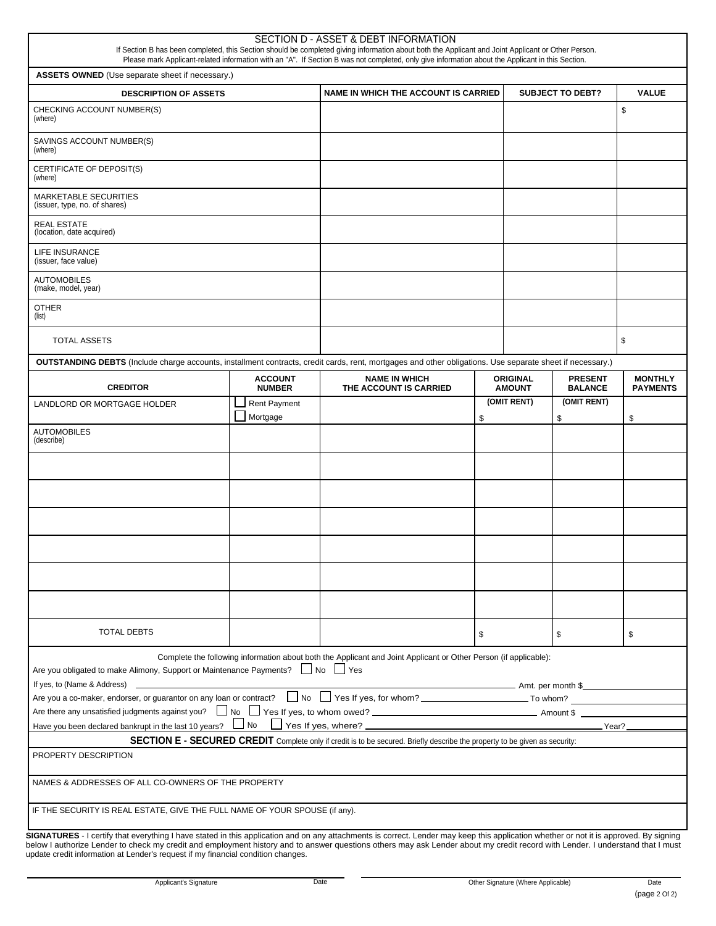|                                                                                                                                                                                                                                                                                                                                                                                                                                                             |                                                | SECTION D - ASSET & DEBT INFORMATION<br>If Section B has been completed, this Section should be completed giving information about both the Applicant and Joint Applicant or Other Person.<br>Please mark Applicant-related information with an "A". If Section B was not completed, only give information about the Applicant in this Section. |                                  |                                  |                                   |    |
|-------------------------------------------------------------------------------------------------------------------------------------------------------------------------------------------------------------------------------------------------------------------------------------------------------------------------------------------------------------------------------------------------------------------------------------------------------------|------------------------------------------------|-------------------------------------------------------------------------------------------------------------------------------------------------------------------------------------------------------------------------------------------------------------------------------------------------------------------------------------------------|----------------------------------|----------------------------------|-----------------------------------|----|
| <b>ASSETS OWNED</b> (Use separate sheet if necessary.)                                                                                                                                                                                                                                                                                                                                                                                                      |                                                |                                                                                                                                                                                                                                                                                                                                                 |                                  |                                  |                                   |    |
| <b>DESCRIPTION OF ASSETS</b>                                                                                                                                                                                                                                                                                                                                                                                                                                |                                                | <b>NAME IN WHICH THE ACCOUNT IS CARRIED</b>                                                                                                                                                                                                                                                                                                     | <b>SUBJECT TO DEBT?</b>          | <b>VALUE</b>                     |                                   |    |
| CHECKING ACCOUNT NUMBER(S)<br>(where)                                                                                                                                                                                                                                                                                                                                                                                                                       |                                                |                                                                                                                                                                                                                                                                                                                                                 |                                  |                                  | \$                                |    |
| SAVINGS ACCOUNT NUMBER(S)<br>(where)                                                                                                                                                                                                                                                                                                                                                                                                                        |                                                |                                                                                                                                                                                                                                                                                                                                                 |                                  |                                  |                                   |    |
| CERTIFICATE OF DEPOSIT(S)<br>(where)                                                                                                                                                                                                                                                                                                                                                                                                                        |                                                |                                                                                                                                                                                                                                                                                                                                                 |                                  |                                  |                                   |    |
| <b>MARKETABLE SECURITIES</b><br>(issuer, type, no. of shares)                                                                                                                                                                                                                                                                                                                                                                                               |                                                |                                                                                                                                                                                                                                                                                                                                                 |                                  |                                  |                                   |    |
| <b>REAL ESTATE</b><br>(location, date acquired)                                                                                                                                                                                                                                                                                                                                                                                                             |                                                |                                                                                                                                                                                                                                                                                                                                                 |                                  |                                  |                                   |    |
| LIFE INSURANCE<br>(issuer, face value)                                                                                                                                                                                                                                                                                                                                                                                                                      |                                                |                                                                                                                                                                                                                                                                                                                                                 |                                  |                                  |                                   |    |
| <b>AUTOMOBILES</b><br>(make, model, year)                                                                                                                                                                                                                                                                                                                                                                                                                   |                                                |                                                                                                                                                                                                                                                                                                                                                 |                                  |                                  |                                   |    |
| <b>OTHER</b><br>(list)                                                                                                                                                                                                                                                                                                                                                                                                                                      |                                                |                                                                                                                                                                                                                                                                                                                                                 |                                  |                                  |                                   |    |
| <b>TOTAL ASSETS</b>                                                                                                                                                                                                                                                                                                                                                                                                                                         |                                                |                                                                                                                                                                                                                                                                                                                                                 |                                  |                                  | \$                                |    |
| OUTSTANDING DEBTS (Include charge accounts, installment contracts, credit cards, rent, mortgages and other obligations. Use separate sheet if necessary.)                                                                                                                                                                                                                                                                                                   |                                                |                                                                                                                                                                                                                                                                                                                                                 |                                  |                                  |                                   |    |
| <b>CREDITOR</b>                                                                                                                                                                                                                                                                                                                                                                                                                                             | <b>NAME IN WHICH</b><br>THE ACCOUNT IS CARRIED |                                                                                                                                                                                                                                                                                                                                                 | <b>ORIGINAL</b><br><b>AMOUNT</b> | <b>PRESENT</b><br><b>BALANCE</b> | <b>MONTHLY</b><br><b>PAYMENTS</b> |    |
| LANDLORD OR MORTGAGE HOLDER                                                                                                                                                                                                                                                                                                                                                                                                                                 | <b>Rent Payment</b><br>Mortgage                |                                                                                                                                                                                                                                                                                                                                                 | \$                               | (OMIT RENT)                      | (OMIT RENT)<br>\$                 | \$ |
| <b>AUTOMOBILES</b><br>(describe)                                                                                                                                                                                                                                                                                                                                                                                                                            |                                                |                                                                                                                                                                                                                                                                                                                                                 |                                  |                                  |                                   |    |
|                                                                                                                                                                                                                                                                                                                                                                                                                                                             |                                                |                                                                                                                                                                                                                                                                                                                                                 |                                  |                                  |                                   |    |
|                                                                                                                                                                                                                                                                                                                                                                                                                                                             |                                                |                                                                                                                                                                                                                                                                                                                                                 |                                  |                                  |                                   |    |
|                                                                                                                                                                                                                                                                                                                                                                                                                                                             |                                                |                                                                                                                                                                                                                                                                                                                                                 |                                  |                                  |                                   |    |
|                                                                                                                                                                                                                                                                                                                                                                                                                                                             |                                                |                                                                                                                                                                                                                                                                                                                                                 |                                  |                                  |                                   |    |
|                                                                                                                                                                                                                                                                                                                                                                                                                                                             |                                                |                                                                                                                                                                                                                                                                                                                                                 |                                  |                                  |                                   |    |
|                                                                                                                                                                                                                                                                                                                                                                                                                                                             |                                                |                                                                                                                                                                                                                                                                                                                                                 |                                  |                                  |                                   |    |
| <b>TOTAL DEBTS</b>                                                                                                                                                                                                                                                                                                                                                                                                                                          |                                                | \$                                                                                                                                                                                                                                                                                                                                              |                                  | \$                               | \$                                |    |
| Are you obligated to make Alimony, Support or Maintenance Payments? No Stes                                                                                                                                                                                                                                                                                                                                                                                 |                                                | Complete the following information about both the Applicant and Joint Applicant or Other Person (if applicable):                                                                                                                                                                                                                                |                                  |                                  |                                   |    |
| If yes, to (Name & Address) $\qquad \qquad$<br>Are you a co-maker, endorser, or guarantor on any loan or contract? $\Box$ No $\Box$ Yes If yes, for whom?                                                                                                                                                                                                                                                                                                   |                                                | <b>And Solution Contract Contract Contract Contract Contract Contract Contract Contract Contract Contract Contract Contract Contract Contract Contract Contract Contract Contract Contract Contract Contract Contract Contract C</b>                                                                                                            |                                  |                                  |                                   |    |
| Are there any unsatisfied judgments against you? No Ves If yes, to whom owed?                                                                                                                                                                                                                                                                                                                                                                               |                                                |                                                                                                                                                                                                                                                                                                                                                 |                                  |                                  |                                   |    |
|                                                                                                                                                                                                                                                                                                                                                                                                                                                             |                                                |                                                                                                                                                                                                                                                                                                                                                 |                                  |                                  |                                   |    |
|                                                                                                                                                                                                                                                                                                                                                                                                                                                             |                                                | <b>SECTION E - SECURED CREDIT</b> Complete only if credit is to be secured. Briefly describe the property to be given as security:                                                                                                                                                                                                              |                                  |                                  |                                   |    |
| PROPERTY DESCRIPTION                                                                                                                                                                                                                                                                                                                                                                                                                                        |                                                |                                                                                                                                                                                                                                                                                                                                                 |                                  |                                  |                                   |    |
| NAMES & ADDRESSES OF ALL CO-OWNERS OF THE PROPERTY                                                                                                                                                                                                                                                                                                                                                                                                          |                                                |                                                                                                                                                                                                                                                                                                                                                 |                                  |                                  |                                   |    |
| IF THE SECURITY IS REAL ESTATE, GIVE THE FULL NAME OF YOUR SPOUSE (if any).                                                                                                                                                                                                                                                                                                                                                                                 |                                                |                                                                                                                                                                                                                                                                                                                                                 |                                  |                                  |                                   |    |
| SIGNATURES - I certify that everything I have stated in this application and on any attachments is correct. Lender may keep this application whether or not it is approved. By signing<br>below I authorize Lender to check my credit and employment history and to answer questions others may ask Lender about my credit record with Lender. I understand that I must<br>update credit information at Lender's request if my financial condition changes. |                                                |                                                                                                                                                                                                                                                                                                                                                 |                                  |                                  |                                   |    |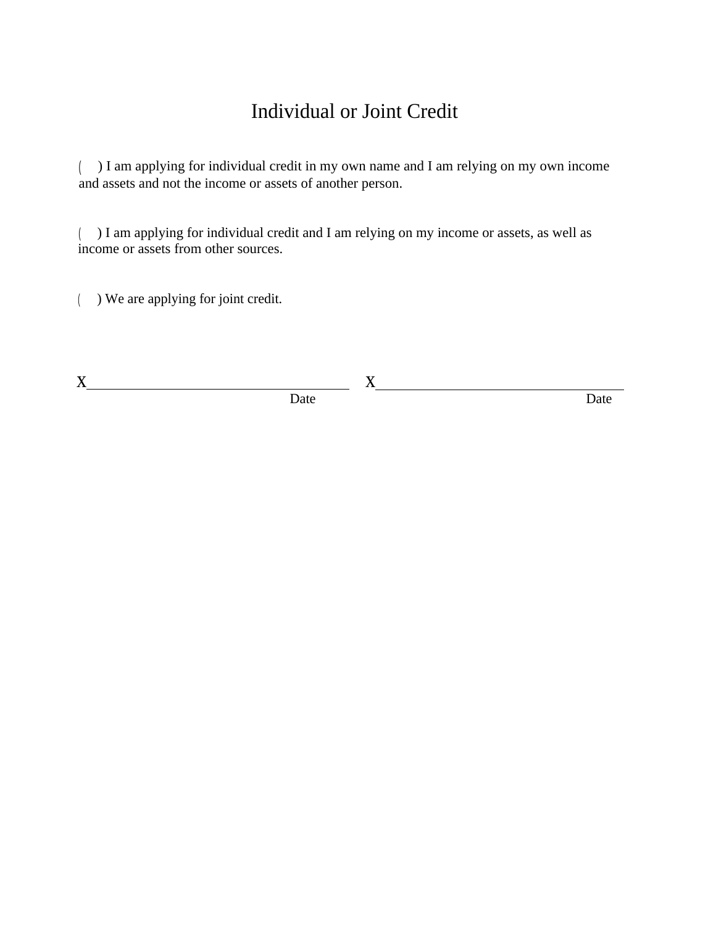# Individual or Joint Credit

( ) I am applying for individual credit in my own name and I am relying on my own income and assets and not the income or assets of another person.

( ) I am applying for individual credit and I am relying on my income or assets, as well as income or assets from other sources.

( ) We are applying for joint credit.

x x

Date Date Date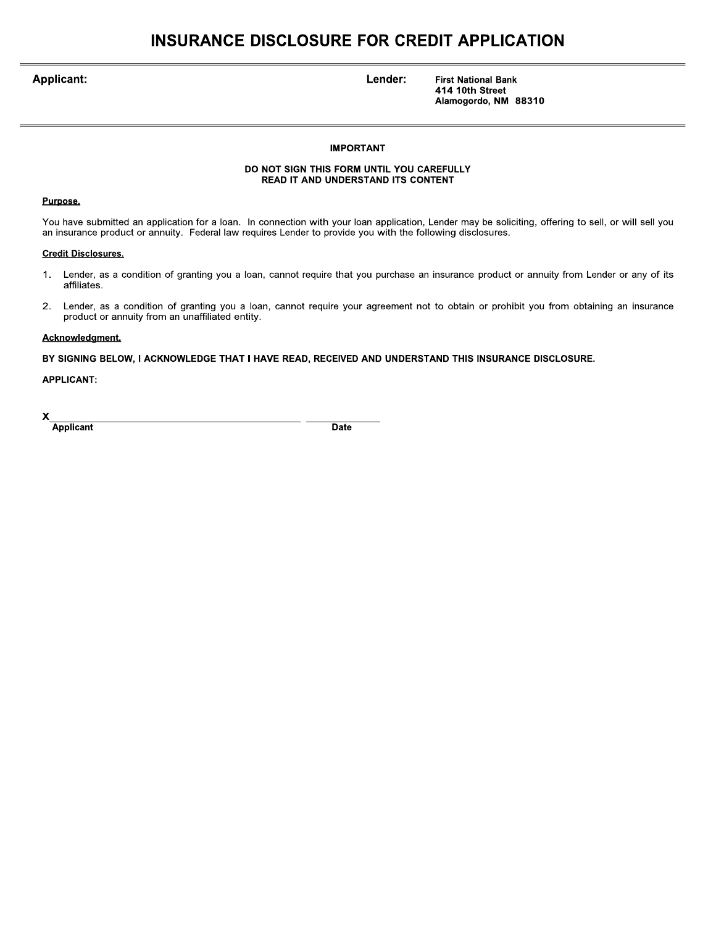### **INSURANCE DISCLOSURE FOR CREDIT APPLICATION**

**Applicant:** 

Lender:

**First National Bank** 414 10th Street Alamogordo, NM 88310

#### **IMPORTANT**

#### DO NOT SIGN THIS FORM UNTIL YOU CAREFULLY READ IT AND UNDERSTAND ITS CONTENT

#### Purpose.

You have submitted an application for a loan. In connection with your loan application, Lender may be soliciting, offering to sell, or will sell you an insurance product or annuity. Federal law requires Lender to provide you with the following disclosures.

#### **Credit Disclosures.**

- $1.$ Lender, as a condition of granting you a loan, cannot require that you purchase an insurance product or annuity from Lender or any of its affiliates.
- Lender, as a condition of granting you a loan, cannot require your agreement not to obtain or prohibit you from obtaining an insurance  $2.$ product or annuity from an unaffiliated entity.

#### Acknowledgment.

BY SIGNING BELOW, I ACKNOWLEDGE THAT I HAVE READ, RECEIVED AND UNDERSTAND THIS INSURANCE DISCLOSURE.

**APPLICANT:** 

X **Applicant** 

**Date**